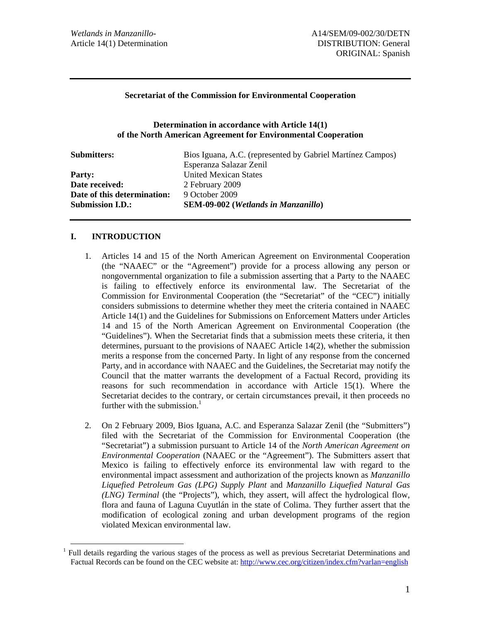#### **Secretariat of the Commission for Environmental Cooperation**

#### **Determination in accordance with Article 14(1) of the North American Agreement for Environmental Cooperation**

| <b>Submitters:</b>          | Bios Iguana, A.C. (represented by Gabriel Martínez Campos) |
|-----------------------------|------------------------------------------------------------|
|                             | Esperanza Salazar Zenil                                    |
| <b>Party:</b>               | <b>United Mexican States</b>                               |
| Date received:              | 2 February 2009                                            |
| Date of this determination: | 9 October 2009                                             |
| <b>Submission I.D.:</b>     | <b>SEM-09-002</b> (Wetlands in Manzanillo)                 |

#### **I. INTRODUCTION**

- 1. Articles 14 and 15 of the North American Agreement on Environmental Cooperation (the "NAAEC" or the "Agreement") provide for a process allowing any person or nongovernmental organization to file a submission asserting that a Party to the NAAEC is failing to effectively enforce its environmental law. The Secretariat of the Commission for Environmental Cooperation (the "Secretariat" of the "CEC") initially considers submissions to determine whether they meet the criteria contained in NAAEC Article 14(1) and the Guidelines for Submissions on Enforcement Matters under Articles 14 and 15 of the North American Agreement on Environmental Cooperation (the "Guidelines"). When the Secretariat finds that a submission meets these criteria, it then determines, pursuant to the provisions of NAAEC Article 14(2), whether the submission merits a response from the concerned Party. In light of any response from the concerned Party, and in accordance with NAAEC and the Guidelines, the Secretariat may notify the Council that the matter warrants the development of a Factual Record, providing its reasons for such recommendation in accordance with Article 15(1). Where the Secretariat decides to the contrary, or certain circumstances prevail, it then proceeds no further with the submission. $<sup>1</sup>$ </sup>
- 2. On 2 February 2009, Bios Iguana, A.C. and Esperanza Salazar Zenil (the "Submitters") filed with the Secretariat of the Commission for Environmental Cooperation (the "Secretariat") a submission pursuant to Article 14 of the *North American Agreement on Environmental Cooperation* (NAAEC or the "Agreement"). The Submitters assert that Mexico is failing to effectively enforce its environmental law with regard to the environmental impact assessment and authorization of the projects known as *Manzanillo Liquefied Petroleum Gas (LPG) Supply Plant* and *Manzanillo Liquefied Natural Gas (LNG) Terminal* (the "Projects"), which, they assert, will affect the hydrological flow, flora and fauna of Laguna Cuyutlán in the state of Colima. They further assert that the modification of ecological zoning and urban development programs of the region violated Mexican environmental law.

<sup>&</sup>lt;sup>1</sup> Full details regarding the various stages of the process as well as previous Secretariat Determinations and <sup>1</sup> Factual Records can be found on the CEC website at: http://www.cec.org/citizen/index.cfm?varlan=english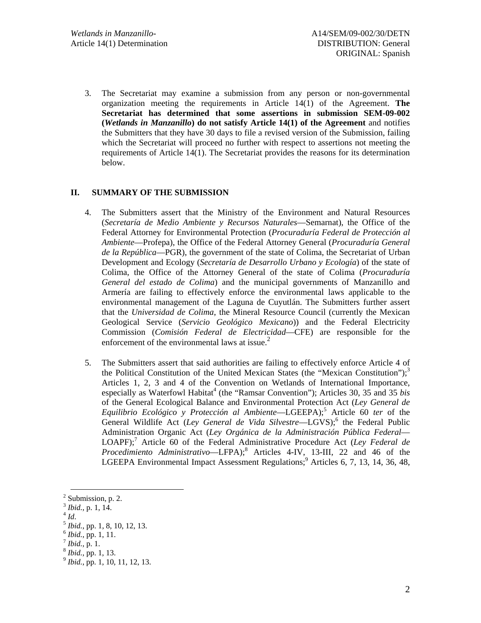3. The Secretariat may examine a submission from any person or non-governmental organization meeting the requirements in Article 14(1) of the Agreement. **The Secretariat has determined that some assertions in submission SEM-09-002 (***Wetlands in Manzanillo***) do not satisfy Article 14(1) of the Agreement** and notifies the Submitters that they have 30 days to file a revised version of the Submission, failing which the Secretariat will proceed no further with respect to assertions not meeting the requirements of Article 14(1). The Secretariat provides the reasons for its determination below.

# **II. SUMMARY OF THE SUBMISSION**

- 4. The Submitters assert that the Ministry of the Environment and Natural Resources (*Secretaría de Medio Ambiente y Recursos Naturales*—Semarnat), the Office of the Federal Attorney for Environmental Protection (*Procuraduría Federal de Protección al Ambiente*—Profepa), the Office of the Federal Attorney General (*Procuraduría General de la República*—PGR), the government of the state of Colima, the Secretariat of Urban Development and Ecology (*Secretaría de Desarrollo Urbano y Ecología*) of the state of Colima, the Office of the Attorney General of the state of Colima (*Procuraduría General del estado de Colima*) and the municipal governments of Manzanillo and Armería are failing to effectively enforce the environmental laws applicable to the environmental management of the Laguna de Cuyutlán. The Submitters further assert that the *Universidad de Colima*, the Mineral Resource Council (currently the Mexican Geological Service (*Servicio Geológico Mexicano*)) and the Federal Electricity Commission (*Comisión Federal de Electricidad*—CFE) are responsible for the enforcement of the environmental laws at issue. $<sup>2</sup>$ </sup>
- 5. The Submitters assert that said authorities are failing to effectively enforce Article 4 of the Political Constitution of the United Mexican States (the "Mexican Constitution"); $3$ Articles 1, 2, 3 and 4 of the Convention on Wetlands of International Importance, especially as Waterfowl Habitat<sup>4</sup> (the "Ramsar Convention"); Articles 30, 35 and 35 *bis* of the General Ecological Balance and Environmental Protection Act (*Ley General de*  Equilibrio Ecológico y Protección al Ambiente—LGEEPA);<sup>5</sup> Article 60 ter of the General Wildlife Act (Ley General de Vida Silvestre—LGVS);<sup>6</sup> the Federal Public Administration Organic Act (*Ley Orgánica de la Administración Pública Federal*— LOAPF);<sup>7</sup> Article 60 of the Federal Administrative Procedure Act (*Ley Federal de Procedimiento Administrativo*—LFPA);<sup>8</sup> Articles 4-IV, 13-III, 22 and 46 of the LGEEPA Environmental Impact Assessment Regulations;<sup>9</sup> Articles 6, 7, 13, 14, 36, 48,

 $\frac{1}{2}$  Submission, p. 2.

<sup>&</sup>lt;sup>3</sup> *Ibid.*, p. 1, 14.<br>
<sup>4</sup> *Id.*<br>
<sup>5</sup> *Ibid.*, pp. 1, 8, 10, 12, 13.<br>
<sup>6</sup> *Ibid.*, pp. 1, 11.<br>
<sup>7</sup> *Ibid.*, p. 1, 13.<br>
<sup>8</sup> *Ibid.*, pp. 1, 10, 11, 12, 13.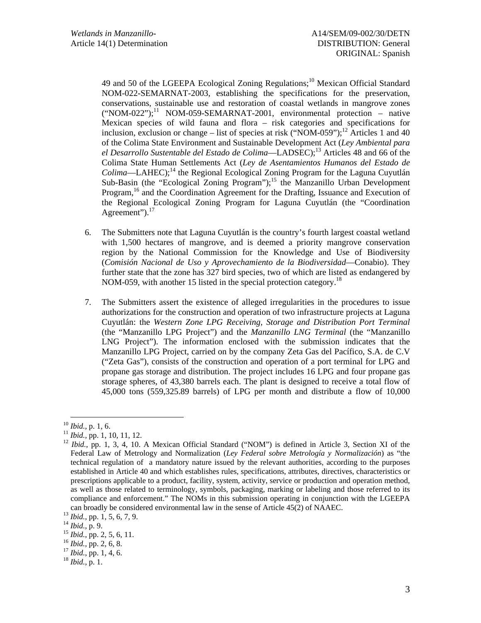49 and 50 of the LGEEPA Ecological Zoning Regulations;<sup>10</sup> Mexican Official Standard NOM-022-SEMARNAT-2003, establishing the specifications for the preservation, conservations, sustainable use and restoration of coastal wetlands in mangrove zones  $("NOM-022");<sup>11</sup> NOM-059-SEMARNAT-2001, environmental protection – native$ Mexican species of wild fauna and flora – risk categories and specifications for inclusion, exclusion or change – list of species at risk ("NOM-059");<sup>12</sup> Articles 1 and 40 of the Colima State Environment and Sustainable Development Act (*Ley Ambiental para el Desarrollo Sustentable del Estado de Colima*—LADSEC);13 Articles 48 and 66 of the Colima State Human Settlements Act (*Ley de Asentamientos Humanos del Estado de Colima*—LAHEC);<sup>14</sup> the Regional Ecological Zoning Program for the Laguna Cuyutlán Sub-Basin (the "Ecological Zoning Program");<sup>15</sup> the Manzanillo Urban Development Program,<sup>16</sup> and the Coordination Agreement for the Drafting, Issuance and Execution of the Regional Ecological Zoning Program for Laguna Cuyutlán (the "Coordination Agreement").<sup>17</sup>

- 6. The Submitters note that Laguna Cuyutlán is the country's fourth largest coastal wetland with 1,500 hectares of mangrove, and is deemed a priority mangrove conservation region by the National Commission for the Knowledge and Use of Biodiversity (*Comisión Nacional de Uso y Aprovechamiento de la Biodiversidad*—Conabio). They further state that the zone has 327 bird species, two of which are listed as endangered by NOM-059, with another 15 listed in the special protection category.<sup>18</sup>
- 7. The Submitters assert the existence of alleged irregularities in the procedures to issue authorizations for the construction and operation of two infrastructure projects at Laguna Cuyutlán: the *Western Zone LPG Receiving, Storage and Distribution Port Terminal*  (the "Manzanillo LPG Project") and the *Manzanillo LNG Terminal* (the "Manzanillo LNG Project"). The information enclosed with the submission indicates that the Manzanillo LPG Project, carried on by the company Zeta Gas del Pacífico, S.A. de C.V ("Zeta Gas"), consists of the construction and operation of a port terminal for LPG and propane gas storage and distribution. The project includes 16 LPG and four propane gas storage spheres, of 43,380 barrels each. The plant is designed to receive a total flow of 45,000 tons (559,325.89 barrels) of LPG per month and distribute a flow of 10,000

<sup>&</sup>lt;sup>10</sup> *Ibid.*, p. 1, 6.<br><sup>11</sup> *Ibid.*, pp. 1, 10, 11, 12.<br><sup>12</sup> *Ibid.*, pp. 1, 3, 4, 10. A Mexican Official Standard ("NOM") is defined in Article 3, Section XI of the Federal Law of Metrology and Normalization (*Ley Federal sobre Metrología y Normalización*) as "the technical regulation of a mandatory nature issued by the relevant authorities, according to the purposes established in Article 40 and which establishes rules, specifications, attributes, directives, characteristics or prescriptions applicable to a product, facility, system, activity, service or production and operation method, as well as those related to terminology, symbols, packaging, marking or labeling and those referred to its compliance and enforcement." The NOMs in this submission operating in conjunction with the LGEEPA can broadly be considered environmental law in the sense of Article 45(2) of NAAEC.<br><sup>13</sup> *Ibid.*, pp. 1, 5, 6, 7, 9.<br><sup>14</sup> *Ibid.*, p. 9.<br><sup>15</sup> *Ibid.*, pp. 2, 5, 6, 11.<br><sup>15</sup> *Ibid.*, pp. 2, 6, 8.<br><sup>17</sup> *Ibid.*, pp. 1, 4, 6.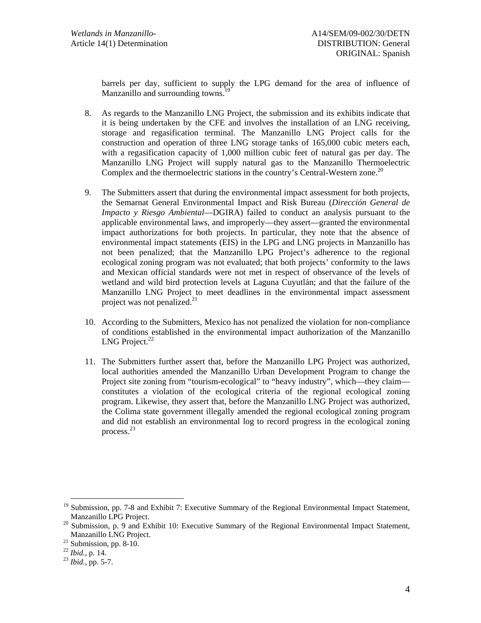barrels per day, sufficient to supply the LPG demand for the area of influence of Manzanillo and surrounding towns.

- 8. As regards to the Manzanillo LNG Project, the submission and its exhibits indicate that it is being undertaken by the CFE and involves the installation of an LNG receiving, storage and regasification terminal. The Manzanillo LNG Project calls for the construction and operation of three LNG storage tanks of 165,000 cubic meters each, with a regasification capacity of 1,000 million cubic feet of natural gas per day. The Manzanillo LNG Project will supply natural gas to the Manzanillo Thermoelectric Complex and the thermoelectric stations in the country's Central-Western zone.<sup>20</sup>
- 9. The Submitters assert that during the environmental impact assessment for both projects, the Semarnat General Environmental Impact and Risk Bureau (*Dirección General de Impacto y Riesgo Ambiental*—DGIRA) failed to conduct an analysis pursuant to the applicable environmental laws, and improperly—they assert—granted the environmental impact authorizations for both projects. In particular, they note that the absence of environmental impact statements (EIS) in the LPG and LNG projects in Manzanillo has not been penalized; that the Manzanillo LPG Project's adherence to the regional ecological zoning program was not evaluated; that both projects' conformity to the laws and Mexican official standards were not met in respect of observance of the levels of wetland and wild bird protection levels at Laguna Cuyutlán; and that the failure of the Manzanillo LNG Project to meet deadlines in the environmental impact assessment project was not penalized. $2<sup>1</sup>$
- 10. According to the Submitters, Mexico has not penalized the violation for non-compliance of conditions established in the environmental impact authorization of the Manzanillo LNG Project. $^{22}$
- 11. The Submitters further assert that, before the Manzanillo LPG Project was authorized, local authorities amended the Manzanillo Urban Development Program to change the Project site zoning from "tourism-ecological" to "heavy industry", which—they claim constitutes a violation of the ecological criteria of the regional ecological zoning program. Likewise, they assert that, before the Manzanillo LNG Project was authorized, the Colima state government illegally amended the regional ecological zoning program and did not establish an environmental log to record progress in the ecological zoning process.<sup>23</sup>

<sup>&</sup>lt;sup>19</sup> Submission, pp. 7-8 and Exhibit 7: Executive Summary of the Regional Environmental Impact Statement, Manzanillo LPG Project.<br><sup>20</sup> Submission, p. 9 and Exhibit 10: Executive Summary of the Regional Environmental Impact Statement,

Manzanillo LNG Project.<br><sup>21</sup> Submission, pp. 8-10.<br><sup>22</sup> Ibid., p. 14.

<sup>&</sup>lt;sup>23</sup> *Ibid.*, pp. 5-7.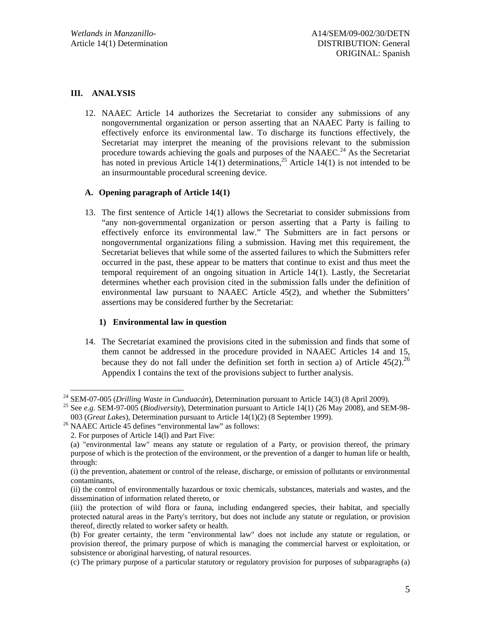# **III. ANALYSIS**

12. NAAEC Article 14 authorizes the Secretariat to consider any submissions of any nongovernmental organization or person asserting that an NAAEC Party is failing to effectively enforce its environmental law. To discharge its functions effectively, the Secretariat may interpret the meaning of the provisions relevant to the submission procedure towards achieving the goals and purposes of the NAAEC.<sup>24</sup> As the Secretariat has noted in previous Article 14(1) determinations,<sup>25</sup> Article 14(1) is not intended to be an insurmountable procedural screening device.

# **A. Opening paragraph of Article 14(1)**

13. The first sentence of Article 14(1) allows the Secretariat to consider submissions from "any non-governmental organization or person asserting that a Party is failing to effectively enforce its environmental law." The Submitters are in fact persons or nongovernmental organizations filing a submission. Having met this requirement, the Secretariat believes that while some of the asserted failures to which the Submitters refer occurred in the past, these appear to be matters that continue to exist and thus meet the temporal requirement of an ongoing situation in Article 14(1). Lastly, the Secretariat determines whether each provision cited in the submission falls under the definition of environmental law pursuant to NAAEC Article 45(2), and whether the Submitters' assertions may be considered further by the Secretariat:

## **1) Environmental law in question**

14. The Secretariat examined the provisions cited in the submission and finds that some of them cannot be addressed in the procedure provided in NAAEC Articles 14 and 15, because they do not fall under the definition set forth in section a) of Article  $45(2)$ .<sup>26</sup> Appendix I contains the text of the provisions subject to further analysis.

<sup>&</sup>lt;sup>24</sup> SEM-07-005 (*Drilling Waste in Cunduacán*), Determination pursuant to Article 14(3) (8 April 2009).<br><sup>25</sup> See *e.g.* SEM-97-005 (*Biodiversity*), Determination pursuant to Article 14(1) (26 May 2008), and SEM-98-

<sup>003 (</sup>*Great Lakes*), Determination pursuant to Article 14(1)(2) (8 September 1999). 26 NAAEC Article 45 defines "environmental law" as follows:

 <sup>2.</sup> For purposes of Article 14(l) and Part Five:

 <sup>(</sup>a) "environmental law" means any statute or regulation of a Party, or provision thereof, the primary purpose of which is the protection of the environment, or the prevention of a danger to human life or health, through:

 <sup>(</sup>i) the prevention, abatement or control of the release, discharge, or emission of pollutants or environmental contaminants,

 <sup>(</sup>ii) the control of environmentally hazardous or toxic chemicals, substances, materials and wastes, and the dissemination of information related thereto, or

 <sup>(</sup>iii) the protection of wild flora or fauna, including endangered species, their habitat, and specially protected natural areas in the Party's territory, but does not include any statute or regulation, or provision thereof, directly related to worker safety or health.

 <sup>(</sup>b) For greater certainty, the term "environmental law" does not include any statute or regulation, or provision thereof, the primary purpose of which is managing the commercial harvest or exploitation, or subsistence or aboriginal harvesting, of natural resources.

 <sup>(</sup>c) The primary purpose of a particular statutory or regulatory provision for purposes of subparagraphs (a)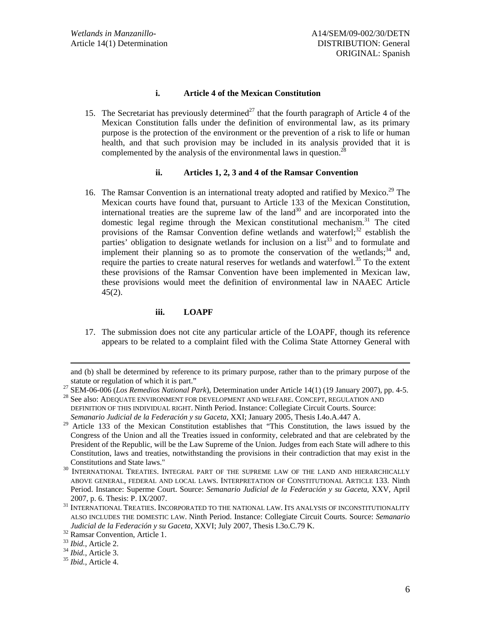#### **i. Article 4 of the Mexican Constitution**

15. The Secretariat has previously determined<sup>27</sup> that the fourth paragraph of Article 4 of the Mexican Constitution falls under the definition of environmental law, as its primary purpose is the protection of the environment or the prevention of a risk to life or human health, and that such provision may be included in its analysis provided that it is complemented by the analysis of the environmental laws in question.<sup>2</sup>

## **ii. Articles 1, 2, 3 and 4 of the Ramsar Convention**

16. The Ramsar Convention is an international treaty adopted and ratified by Mexico.<sup>29</sup> The Mexican courts have found that, pursuant to Article 133 of the Mexican Constitution, international treaties are the supreme law of the  $land<sup>30</sup>$  and are incorporated into the domestic legal regime through the Mexican constitutional mechanism.<sup>31</sup> The cited provisions of the Ramsar Convention define wetlands and waterfowl; $32$  establish the parties' obligation to designate wetlands for inclusion on a  $\text{list}^{33}$  and to formulate and implement their planning so as to promote the conservation of the wetlands;  $34$  and, require the parties to create natural reserves for wetlands and waterfowl.<sup>35</sup> To the extent these provisions of the Ramsar Convention have been implemented in Mexican law, these provisions would meet the definition of environmental law in NAAEC Article  $45(2)$ .

## **iii. LOAPF**

17. The submission does not cite any particular article of the LOAPF, though its reference appears to be related to a complaint filed with the Colima State Attorney General with

and (b) shall be determined by reference to its primary purpose, rather than to the primary purpose of the

statute or regulation of which it is part."<br>
<sup>27</sup> SEM-06-006 (*Los Remedios National Park*), Determination under Article 14(1) (19 January 2007), pp. 4-5.<br>
<sup>28</sup> See also: ADEQUATE ENVIRONMENT FOR DEVELOPMENT AND WELFARE.

DEFINITION OF THIS INDIVIDUAL RIGHT. Ninth Period. Instance: Collegiate Circuit Courts. Source: *Semanario Judicial de la Federación y su Gaceta*, XXI; January 2005, Thesis I.4o.A.447 A.

 $29$  Article 133 of the Mexican Constitution establishes that "This Constitution, the laws issued by the Congress of the Union and all the Treaties issued in conformity, celebrated and that are celebrated by the President of the Republic, will be the Law Supreme of the Union. Judges from each State will adhere to this Constitution, laws and treaties, notwithstanding the provisions in their contradiction that may exist in the

INTERNATIONAL TREATIES. INTEGRAL PART OF THE SUPREME LAW OF THE LAND AND HIERARCHICALLY ABOVE GENERAL, FEDERAL AND LOCAL LAWS. INTERPRETATION OF CONSTITUTIONAL ARTICLE 133. Ninth Period. Instance: Superme Court. Source: *Semanario Judicial de la Federación y su Gaceta*, XXV, April

<sup>2007,</sup> p. 6. Thesis: P. IX/2007.  $^{31}$  International Treaties. Incorporated to the national Law. Its analysis of inconstitutionality ALSO INCLUDES THE DOMESTIC LAW. Ninth Period. Instance: Collegiate Circuit Courts. Source: *Semanario Judicial de la Federación y su Gaceta*, XXVI; July 2007, Thesis I.3o.C.79 K.<br><sup>32</sup> Ramsar Convention, Article 1.<br><sup>33</sup> *Ibid.*, Article 2.

<sup>33</sup> *Ibid.*, Article 2. 34 *Ibid.*, Article 3. 35 *Ibid.*, Article 4.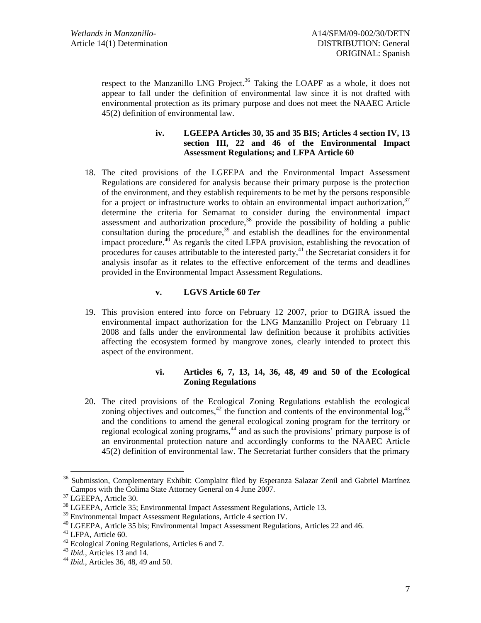respect to the Manzanillo LNG Project.<sup>36</sup> Taking the LOAPF as a whole, it does not appear to fall under the definition of environmental law since it is not drafted with environmental protection as its primary purpose and does not meet the NAAEC Article 45(2) definition of environmental law.

## **iv. LGEEPA Articles 30, 35 and 35 BIS; Articles 4 section IV, 13 section III, 22 and 46 of the Environmental Impact Assessment Regulations; and LFPA Article 60**

18. The cited provisions of the LGEEPA and the Environmental Impact Assessment Regulations are considered for analysis because their primary purpose is the protection of the environment, and they establish requirements to be met by the persons responsible for a project or infrastructure works to obtain an environmental impact authorization,  $37$ determine the criteria for Semarnat to consider during the environmental impact assessment and authorization procedure, $38$  provide the possibility of holding a public consultation during the procedure,<sup>39</sup> and establish the deadlines for the environmental impact procedure.<sup>40</sup> As regards the cited LFPA provision, establishing the revocation of procedures for causes attributable to the interested party,<sup>41</sup> the Secretariat considers it for analysis insofar as it relates to the effective enforcement of the terms and deadlines provided in the Environmental Impact Assessment Regulations.

# **v. LGVS Article 60** *Ter*

19. This provision entered into force on February 12 2007, prior to DGIRA issued the environmental impact authorization for the LNG Manzanillo Project on February 11 2008 and falls under the environmental law definition because it prohibits activities affecting the ecosystem formed by mangrove zones, clearly intended to protect this aspect of the environment.

# **vi. Articles 6, 7, 13, 14, 36, 48, 49 and 50 of the Ecological Zoning Regulations**

20. The cited provisions of the Ecological Zoning Regulations establish the ecological zoning objectives and outcomes,<sup>42</sup> the function and contents of the environmental  $\log$ ,<sup>43</sup> and the conditions to amend the general ecological zoning program for the territory or regional ecological zoning programs,<sup>44</sup> and as such the provisions' primary purpose is of an environmental protection nature and accordingly conforms to the NAAEC Article 45(2) definition of environmental law. The Secretariat further considers that the primary

<sup>&</sup>lt;sup>36</sup> Submission, Complementary Exhibit: Complaint filed by Esperanza Salazar Zenil and Gabriel Martínez Campos with the Colima State Attorney General on 4 June 2007. 37 LGEEPA, Article 30.

<sup>38</sup> LGEEPA, Article 35; Environmental Impact Assessment Regulations, Article 13.

<sup>&</sup>lt;sup>39</sup> Environmental Impact Assessment Regulations, Article 4 section IV.

<sup>&</sup>lt;sup>40</sup> LGEEPA, Article 35 bis; Environmental Impact Assessment Regulations, Articles 22 and 46.

<sup>41</sup> LFPA, Article 60.

<sup>&</sup>lt;sup>42</sup> Ecological Zoning Regulations, Articles 6 and 7.<br><sup>43</sup> *Ibid.*, Articles 13 and 14.

<sup>&</sup>lt;sup>44</sup> *Ibid.*, Articles 36, 48, 49 and 50.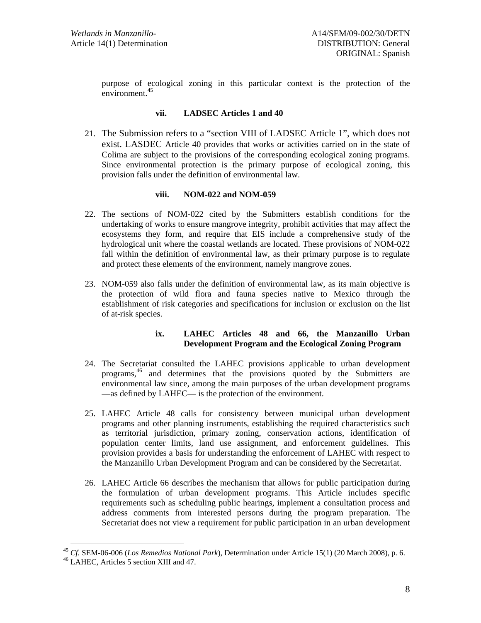purpose of ecological zoning in this particular context is the protection of the environment.<sup>45</sup>

#### **vii. LADSEC Articles 1 and 40**

21. The Submission refers to a "section VIII of LADSEC Article 1", which does not exist. LASDEC Article 40 provides that works or activities carried on in the state of Colima are subject to the provisions of the corresponding ecological zoning programs. Since environmental protection is the primary purpose of ecological zoning, this provision falls under the definition of environmental law.

## **viii. NOM-022 and NOM-059**

- 22. The sections of NOM-022 cited by the Submitters establish conditions for the undertaking of works to ensure mangrove integrity, prohibit activities that may affect the ecosystems they form, and require that EIS include a comprehensive study of the hydrological unit where the coastal wetlands are located. These provisions of NOM-022 fall within the definition of environmental law, as their primary purpose is to regulate and protect these elements of the environment, namely mangrove zones.
- 23. NOM-059 also falls under the definition of environmental law, as its main objective is the protection of wild flora and fauna species native to Mexico through the establishment of risk categories and specifications for inclusion or exclusion on the list of at-risk species.

## **ix. LAHEC Articles 48 and 66, the Manzanillo Urban Development Program and the Ecological Zoning Program**

- 24. The Secretariat consulted the LAHEC provisions applicable to urban development programs,46 and determines that the provisions quoted by the Submitters are environmental law since, among the main purposes of the urban development programs —as defined by LAHEC— is the protection of the environment.
- 25. LAHEC Article 48 calls for consistency between municipal urban development programs and other planning instruments, establishing the required characteristics such as territorial jurisdiction, primary zoning, conservation actions, identification of population center limits, land use assignment, and enforcement guidelines. This provision provides a basis for understanding the enforcement of LAHEC with respect to the Manzanillo Urban Development Program and can be considered by the Secretariat.
- 26. LAHEC Article 66 describes the mechanism that allows for public participation during the formulation of urban development programs. This Article includes specific requirements such as scheduling public hearings, implement a consultation process and address comments from interested persons during the program preparation. The Secretariat does not view a requirement for public participation in an urban development

<sup>&</sup>lt;sup>45</sup> *Cf.* SEM-06-006 (*Los Remedios National Park*), Determination under Article 15(1) (20 March 2008), p. 6. <sup>46</sup> LAHEC, Articles 5 section XIII and 47.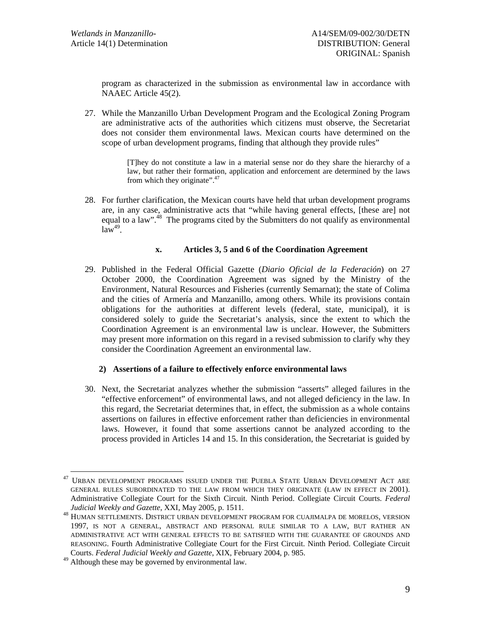program as characterized in the submission as environmental law in accordance with NAAEC Article 45(2).

27. While the Manzanillo Urban Development Program and the Ecological Zoning Program are administrative acts of the authorities which citizens must observe, the Secretariat does not consider them environmental laws. Mexican courts have determined on the scope of urban development programs, finding that although they provide rules"

> [T]hey do not constitute a law in a material sense nor do they share the hierarchy of a law, but rather their formation, application and enforcement are determined by the laws from which they originate".<sup>47</sup>

28. For further clarification, the Mexican courts have held that urban development programs are, in any case, administrative acts that "while having general effects, [these are] not equal to a law".<sup>48</sup> The programs cited by the Submitters do not qualify as environmental  $law^{49}$ .

## **x. Articles 3, 5 and 6 of the Coordination Agreement**

29. Published in the Federal Official Gazette (*Diario Oficial de la Federación*) on 27 October 2000, the Coordination Agreement was signed by the Ministry of the Environment, Natural Resources and Fisheries (currently Semarnat); the state of Colima and the cities of Armería and Manzanillo, among others. While its provisions contain obligations for the authorities at different levels (federal, state, municipal), it is considered solely to guide the Secretariat's analysis, since the extent to which the Coordination Agreement is an environmental law is unclear. However, the Submitters may present more information on this regard in a revised submission to clarify why they consider the Coordination Agreement an environmental law.

## **2) Assertions of a failure to effectively enforce environmental laws**

30. Next, the Secretariat analyzes whether the submission "asserts" alleged failures in the "effective enforcement" of environmental laws, and not alleged deficiency in the law. In this regard, the Secretariat determines that, in effect, the submission as a whole contains assertions on failures in effective enforcement rather than deficiencies in environmental laws. However, it found that some assertions cannot be analyzed according to the process provided in Articles 14 and 15. In this consideration, the Secretariat is guided by

<sup>&</sup>lt;sup>47</sup> URBAN DEVELOPMENT PROGRAMS ISSUED UNDER THE PUEBLA STATE URBAN DEVELOPMENT ACT ARE GENERAL RULES SUBORDINATED TO THE LAW FROM WHICH THEY ORIGINATE (LAW IN EFFECT IN 2001). Administrative Collegiate Court for the Sixth Circuit. Ninth Period. Collegiate Circuit Courts. *Federal* 

*Judicial Weekly and Gazette, XXI, May 2006, p. 1511.* Here is a strip of the MORELOS, WERSION HOMELOS, VERSION 1997, IS NOT A GENERAL, ABSTRACT AND PERSONAL RULE SIMILAR TO A LAW, BUT RATHER AN ADMINISTRATIVE ACT WITH GENERAL EFFECTS TO BE SATISFIED WITH THE GUARANTEE OF GROUNDS AND REASONING. Fourth Administrative Collegiate Court for the First Circuit. Ninth Period. Collegiate Circuit Courts. *Federal Judicial Weekly and Gazette*, XIX, February 2004, p. 985.

<sup>49</sup> Although these may be governed by environmental law.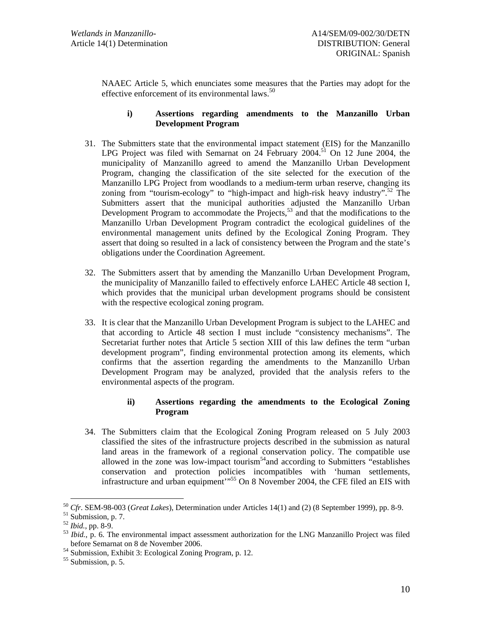NAAEC Article 5, which enunciates some measures that the Parties may adopt for the effective enforcement of its environmental laws. $50$ 

# **i) Assertions regarding amendments to the Manzanillo Urban Development Program**

- 31. The Submitters state that the environmental impact statement (EIS) for the Manzanillo LPG Project was filed with Semarnat on 24 February 2004.<sup>51</sup> On 12 June 2004, the municipality of Manzanillo agreed to amend the Manzanillo Urban Development Program, changing the classification of the site selected for the execution of the Manzanillo LPG Project from woodlands to a medium-term urban reserve, changing its zoning from "tourism-ecology" to "high-impact and high-risk heavy industry".<sup>52</sup> The Submitters assert that the municipal authorities adjusted the Manzanillo Urban Development Program to accommodate the Projects, $5<sup>3</sup>$  and that the modifications to the Manzanillo Urban Development Program contradict the ecological guidelines of the environmental management units defined by the Ecological Zoning Program. They assert that doing so resulted in a lack of consistency between the Program and the state's obligations under the Coordination Agreement.
- 32. The Submitters assert that by amending the Manzanillo Urban Development Program, the municipality of Manzanillo failed to effectively enforce LAHEC Article 48 section I, which provides that the municipal urban development programs should be consistent with the respective ecological zoning program.
- 33. It is clear that the Manzanillo Urban Development Program is subject to the LAHEC and that according to Article 48 section I must include "consistency mechanisms". The Secretariat further notes that Article 5 section XIII of this law defines the term "urban development program", finding environmental protection among its elements, which confirms that the assertion regarding the amendments to the Manzanillo Urban Development Program may be analyzed, provided that the analysis refers to the environmental aspects of the program.

# **ii) Assertions regarding the amendments to the Ecological Zoning Program**

34. The Submitters claim that the Ecological Zoning Program released on 5 July 2003 classified the sites of the infrastructure projects described in the submission as natural land areas in the framework of a regional conservation policy. The compatible use allowed in the zone was low-impact tourism<sup>54</sup> and according to Submitters "establishes" conservation and protection policies incompatibles with 'human settlements, infrastructure and urban equipment<sup>"55</sup> On 8 November 2004, the CFE filed an EIS with

<sup>&</sup>lt;sup>50</sup> *Cfr.* SEM-98-003 (*Great Lakes*), Determination under Articles 14(1) and (2) (8 September 1999), pp. 8-9.<br><sup>51</sup> Submission, p. 7.<br><sup>52</sup> Ibid., pp. 8-9.

<sup>&</sup>lt;sup>53</sup> *Ibid.*, p. 6. The environmental impact assessment authorization for the LNG Manzanillo Project was filed before Semarnat on 8 de November 2006.

 $54$  Submission, Exhibit 3: Ecological Zoning Program, p. 12.

<sup>55</sup> Submission, p. 5.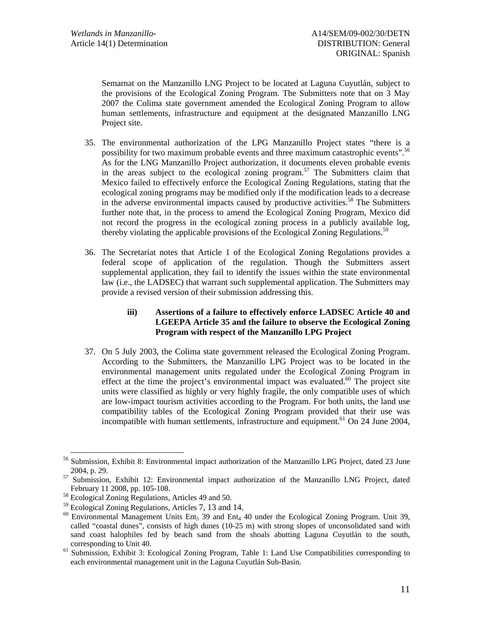Semarnat on the Manzanillo LNG Project to be located at Laguna Cuyutlán, subject to the provisions of the Ecological Zoning Program. The Submitters note that on 3 May 2007 the Colima state government amended the Ecological Zoning Program to allow human settlements, infrastructure and equipment at the designated Manzanillo LNG Project site.

- 35. The environmental authorization of the LPG Manzanillo Project states "there is a possibility for two maximum probable events and three maximum catastrophic events".<sup>56</sup> As for the LNG Manzanillo Project authorization, it documents eleven probable events in the areas subject to the ecological zoning program.<sup>57</sup> The Submitters claim that Mexico failed to effectively enforce the Ecological Zoning Regulations, stating that the ecological zoning programs may be modified only if the modification leads to a decrease in the adverse environmental impacts caused by productive activities.<sup>58</sup> The Submitters further note that, in the process to amend the Ecological Zoning Program, Mexico did not record the progress in the ecological zoning process in a publicly available log, thereby violating the applicable provisions of the Ecological Zoning Regulations.<sup>59</sup>
- 36. The Secretariat notes that Article 1 of the Ecological Zoning Regulations provides a federal scope of application of the regulation. Though the Submitters assert supplemental application, they fail to identify the issues within the state environmental law (i.e., the LADSEC) that warrant such supplemental application. The Submitters may provide a revised version of their submission addressing this.

# **iii) Assertions of a failure to effectively enforce LADSEC Article 40 and LGEEPA Article 35 and the failure to observe the Ecological Zoning Program with respect of the Manzanillo LPG Project**

37. On 5 July 2003, the Colima state government released the Ecological Zoning Program. According to the Submitters, the Manzanillo LPG Project was to be located in the environmental management units regulated under the Ecological Zoning Program in effect at the time the project's environmental impact was evaluated.<sup>60</sup> The project site units were classified as highly or very highly fragile, the only compatible uses of which are low-impact tourism activities according to the Program. For both units, the land use compatibility tables of the Ecological Zoning Program provided that their use was incompatible with human settlements, infrastructure and equipment.<sup>61</sup> On 24 June 2004,

<sup>&</sup>lt;sup>56</sup> Submission, Exhibit 8: Environmental impact authorization of the Manzanillo LPG Project, dated 23 June 2004, p. 29.

<sup>&</sup>lt;sup>57</sup> Submission, Exhibit 12: Environmental impact authorization of the Manzanillo LNG Project, dated February 11 2008, pp. 105-108.<br><sup>58</sup> Ecological Zoning Regulations, Articles 49 and 50.<br><sup>59</sup> Ecological Zoning Regulations, Articles 7, 13 and 14.

<sup>&</sup>lt;sup>60</sup> Environmental Management Units Ent<sub>5</sub> 39 and Ent<sub>4</sub> 40 under the Ecological Zoning Program. Unit 39, called "coastal dunes", consists of high dunes (10-25 m) with strong slopes of unconsolidated sand with sand coast halophiles fed by beach sand from the shoals abutting Laguna Cuyutlán to the south, corresponding to Unit 40. 61 Submission, Exhibit 3: Ecological Zoning Program, Table 1: Land Use Compatibilities corresponding to

each environmental management unit in the Laguna Cuyutlán Sub-Basin.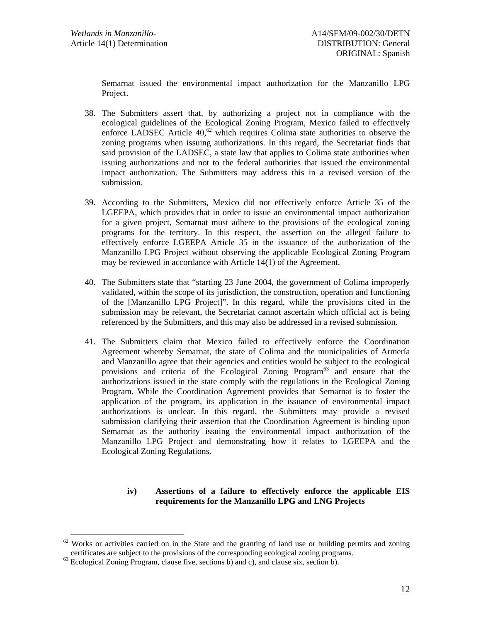Semarnat issued the environmental impact authorization for the Manzanillo LPG Project.

- 38. The Submitters assert that, by authorizing a project not in compliance with the ecological guidelines of the Ecological Zoning Program, Mexico failed to effectively enforce LADSEC Article  $40$ ,  $62$  which requires Colima state authorities to observe the zoning programs when issuing authorizations. In this regard, the Secretariat finds that said provision of the LADSEC, a state law that applies to Colima state authorities when issuing authorizations and not to the federal authorities that issued the environmental impact authorization. The Submitters may address this in a revised version of the submission.
- 39. According to the Submitters, Mexico did not effectively enforce Article 35 of the LGEEPA, which provides that in order to issue an environmental impact authorization for a given project, Semarnat must adhere to the provisions of the ecological zoning programs for the territory. In this respect, the assertion on the alleged failure to effectively enforce LGEEPA Article 35 in the issuance of the authorization of the Manzanillo LPG Project without observing the applicable Ecological Zoning Program may be reviewed in accordance with Article 14(1) of the Agreement.
- 40. The Submitters state that "starting 23 June 2004, the government of Colima improperly validated, within the scope of its jurisdiction, the construction, operation and functioning of the [Manzanillo LPG Project]". In this regard, while the provisions cited in the submission may be relevant, the Secretariat cannot ascertain which official act is being referenced by the Submitters, and this may also be addressed in a revised submission.
- 41. The Submitters claim that Mexico failed to effectively enforce the Coordination Agreement whereby Semarnat, the state of Colima and the municipalities of Armería and Manzanillo agree that their agencies and entities would be subject to the ecological provisions and criteria of the Ecological Zoning Program<sup>63</sup> and ensure that the authorizations issued in the state comply with the regulations in the Ecological Zoning Program. While the Coordination Agreement provides that Semarnat is to foster the application of the program, its application in the issuance of environmental impact authorizations is unclear. In this regard, the Submitters may provide a revised submission clarifying their assertion that the Coordination Agreement is binding upon Semarnat as the authority issuing the environmental impact authorization of the Manzanillo LPG Project and demonstrating how it relates to LGEEPA and the Ecological Zoning Regulations.

## **iv) Assertions of a failure to effectively enforce the applicable EIS requirements for the Manzanillo LPG and LNG Projects**

 $62$  Works or activities carried on in the State and the granting of land use or building permits and zoning

certificates are subject to the provisions of the corresponding ecological zoning programs. 63 Ecological Zoning Program, clause five, sections b) and c), and clause six, section b).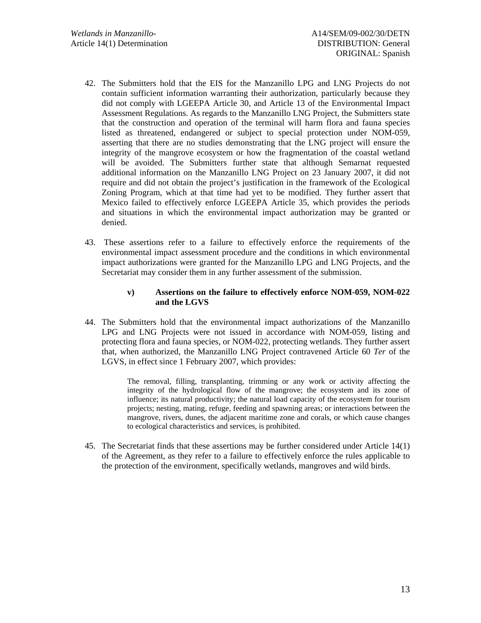- 42. The Submitters hold that the EIS for the Manzanillo LPG and LNG Projects do not contain sufficient information warranting their authorization, particularly because they did not comply with LGEEPA Article 30, and Article 13 of the Environmental Impact Assessment Regulations. As regards to the Manzanillo LNG Project, the Submitters state that the construction and operation of the terminal will harm flora and fauna species listed as threatened, endangered or subject to special protection under NOM-059, asserting that there are no studies demonstrating that the LNG project will ensure the integrity of the mangrove ecosystem or how the fragmentation of the coastal wetland will be avoided. The Submitters further state that although Semarnat requested additional information on the Manzanillo LNG Project on 23 January 2007, it did not require and did not obtain the project's justification in the framework of the Ecological Zoning Program, which at that time had yet to be modified. They further assert that Mexico failed to effectively enforce LGEEPA Article 35, which provides the periods and situations in which the environmental impact authorization may be granted or denied.
- 43. These assertions refer to a failure to effectively enforce the requirements of the environmental impact assessment procedure and the conditions in which environmental impact authorizations were granted for the Manzanillo LPG and LNG Projects, and the Secretariat may consider them in any further assessment of the submission.

## **v) Assertions on the failure to effectively enforce NOM-059, NOM-022 and the LGVS**

44. The Submitters hold that the environmental impact authorizations of the Manzanillo LPG and LNG Projects were not issued in accordance with NOM-059, listing and protecting flora and fauna species, or NOM-022, protecting wetlands. They further assert that, when authorized, the Manzanillo LNG Project contravened Article 60 *Ter* of the LGVS, in effect since 1 February 2007, which provides:

> The removal, filling, transplanting, trimming or any work or activity affecting the integrity of the hydrological flow of the mangrove; the ecosystem and its zone of influence; its natural productivity; the natural load capacity of the ecosystem for tourism projects; nesting, mating, refuge, feeding and spawning areas; or interactions between the mangrove, rivers, dunes, the adjacent maritime zone and corals, or which cause changes to ecological characteristics and services, is prohibited.

45. The Secretariat finds that these assertions may be further considered under Article 14(1) of the Agreement, as they refer to a failure to effectively enforce the rules applicable to the protection of the environment, specifically wetlands, mangroves and wild birds.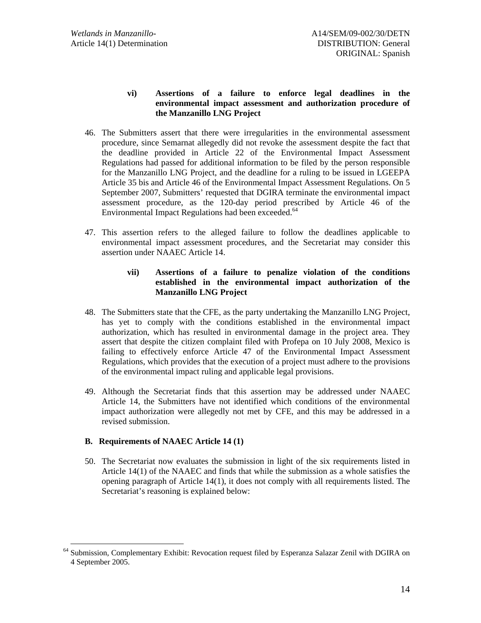# **vi) Assertions of a failure to enforce legal deadlines in the environmental impact assessment and authorization procedure of the Manzanillo LNG Project**

- 46. The Submitters assert that there were irregularities in the environmental assessment procedure, since Semarnat allegedly did not revoke the assessment despite the fact that the deadline provided in Article 22 of the Environmental Impact Assessment Regulations had passed for additional information to be filed by the person responsible for the Manzanillo LNG Project, and the deadline for a ruling to be issued in LGEEPA Article 35 bis and Article 46 of the Environmental Impact Assessment Regulations. On 5 September 2007, Submitters' requested that DGIRA terminate the environmental impact assessment procedure, as the 120-day period prescribed by Article 46 of the Environmental Impact Regulations had been exceeded.<sup>64</sup>
- 47. This assertion refers to the alleged failure to follow the deadlines applicable to environmental impact assessment procedures, and the Secretariat may consider this assertion under NAAEC Article 14.

## **vii) Assertions of a failure to penalize violation of the conditions established in the environmental impact authorization of the Manzanillo LNG Project**

- 48. The Submitters state that the CFE, as the party undertaking the Manzanillo LNG Project, has yet to comply with the conditions established in the environmental impact authorization, which has resulted in environmental damage in the project area. They assert that despite the citizen complaint filed with Profepa on 10 July 2008, Mexico is failing to effectively enforce Article 47 of the Environmental Impact Assessment Regulations, which provides that the execution of a project must adhere to the provisions of the environmental impact ruling and applicable legal provisions.
- 49. Although the Secretariat finds that this assertion may be addressed under NAAEC Article 14, the Submitters have not identified which conditions of the environmental impact authorization were allegedly not met by CFE, and this may be addressed in a revised submission.

# **B. Requirements of NAAEC Article 14 (1)**

50. The Secretariat now evaluates the submission in light of the six requirements listed in Article 14(1) of the NAAEC and finds that while the submission as a whole satisfies the opening paragraph of Article 14(1), it does not comply with all requirements listed. The Secretariat's reasoning is explained below:

<sup>&</sup>lt;sup>64</sup> Submission, Complementary Exhibit: Revocation request filed by Esperanza Salazar Zenil with DGIRA on 4 September 2005.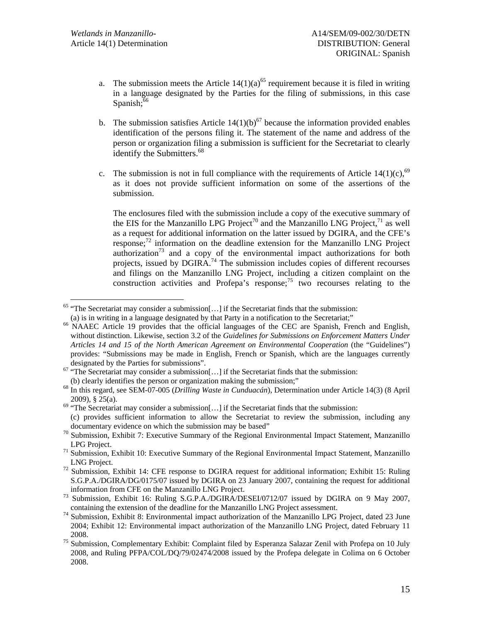- a. The submission meets the Article  $14(1)(a)^{65}$  requirement because it is filed in writing in a language designated by the Parties for the filing of submissions, in this case Spanish; $66$
- b. The submission satisfies Article  $14(1)(b)^{67}$  because the information provided enables identification of the persons filing it. The statement of the name and address of the person or organization filing a submission is sufficient for the Secretariat to clearly identify the Submitters.<sup>68</sup>
- c. The submission is not in full compliance with the requirements of Article 14(1)(c),  $69$ as it does not provide sufficient information on some of the assertions of the submission.

The enclosures filed with the submission include a copy of the executive summary of the EIS for the Manzanillo LPG Project<sup>70</sup> and the Manzanillo LNG Project,<sup>71</sup> as well as a request for additional information on the latter issued by DGIRA, and the CFE's response;72 information on the deadline extension for the Manzanillo LNG Project authorization<sup>73</sup> and a copy of the environmental impact authorizations for both projects, issued by DGIRA.<sup>74</sup> The submission includes copies of different recourses and filings on the Manzanillo LNG Project, including a citizen complaint on the construction activities and Profepa's response; $\frac{75}{15}$  two recourses relating to the

<sup>&</sup>lt;sup>65</sup> "The Secretariat may consider a submission[...] if the Secretariat finds that the submission:<br>(a) is in writing in a language designated by that Party in a notification to the Secretariat:"

NAAEC Article 19 provides that the official languages of the CEC are Spanish, French and English, without distinction. Likewise, section 3.2 of the *Guidelines for Submissions on Enforcement Matters Under Articles 14 and 15 of the North American Agreement on Environmental Cooperation* (the "Guidelines") provides: "Submissions may be made in English, French or Spanish, which are the languages currently

designated by the Parties for submissions".<br>
<sup>67</sup> "The Secretariat may consider a submission[...] if the Secretariat finds that the submission:<br>
(b) clearly identifies the person or organization making the submission;"

<sup>&</sup>lt;sup>68</sup> In this regard, see SEM-07-005 (*Drilling Waste in Cunduacán*), Determination under Article 14(3) (8 April 2009), § 25(a). <sup>69</sup> "The Secretariat may consider a submission[...] if the Secretariat finds that the submission:

<sup>(</sup>c) provides sufficient information to allow the Secretariat to review the submission, including any

documentary evidence on which the submission may be based"  $\frac{70}{2}$  Submission, Exhibit 7: Executive Summary of the Regional Environmental Impact Statement, Manzanillo

LPG Project.<br><sup>71</sup> Submission, Exhibit 10: Executive Summary of the Regional Environmental Impact Statement, Manzanillo

LNG Project. 72 Submission, Exhibit 14: CFE response to DGIRA request for additional information; Exhibit 15: Ruling S.G.P.A./DGIRA/DG/0175/07 issued by DGIRA on 23 January 2007, containing the request for additional

information from CFE on the Manzanillo LNG Project.<br>Submission, Exhibit 16: Ruling S.G.P.A./DGIRA/DESEI/0712/07 issued by DGIRA on 9 May 2007, containing the extension of the deadline for the Manzanillo LNG Project assessm

<sup>&</sup>lt;sup>74</sup> Submission, Exhibit 8: Environmental impact authorization of the Manzanillo LPG Project, dated 23 June 2004; Exhibit 12: Environmental impact authorization of the Manzanillo LNG Project, dated February 11 2008.<br><sup>75</sup> Submission, Complementary Exhibit: Complaint filed by Esperanza Salazar Zenil with Profepa on 10 July

<sup>2008,</sup> and Ruling PFPA/COL/DQ/79/02474/2008 issued by the Profepa delegate in Colima on 6 October 2008.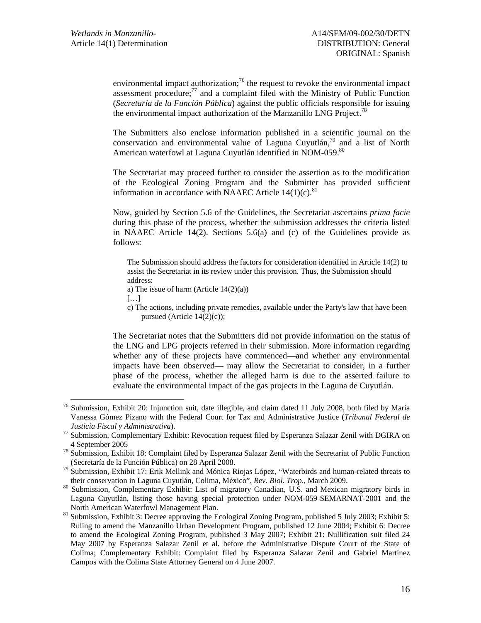environmental impact authorization;<sup>76</sup> the request to revoke the environmental impact assessment procedure; $^{77}$  and a complaint filed with the Ministry of Public Function (*Secretaría de la Función Pública*) against the public officials responsible for issuing the environmental impact authorization of the Manzanillo LNG Project.<sup>78</sup>

The Submitters also enclose information published in a scientific journal on the conservation and environmental value of Laguna Cuyutlán,<sup>79</sup> and a list of North American waterfowl at Laguna Cuvutlán identified in NOM-059.<sup>80</sup>

The Secretariat may proceed further to consider the assertion as to the modification of the Ecological Zoning Program and the Submitter has provided sufficient information in accordance with NAAEC Article  $14(1)(c)$ .<sup>81</sup>

Now, guided by Section 5.6 of the Guidelines, the Secretariat ascertains *prima facie* during this phase of the process, whether the submission addresses the criteria listed in NAAEC Article 14(2). Sections 5.6(a) and (c) of the Guidelines provide as follows:

The Submission should address the factors for consideration identified in Article 14(2) to assist the Secretariat in its review under this provision. Thus, the Submission should address:

- a) The issue of harm (Article  $14(2)(a)$ )
- […]
- c) The actions, including private remedies, available under the Party's law that have been pursued (Article 14(2)(c));

The Secretariat notes that the Submitters did not provide information on the status of the LNG and LPG projects referred in their submission. More information regarding whether any of these projects have commenced—and whether any environmental impacts have been observed— may allow the Secretariat to consider, in a further phase of the process, whether the alleged harm is due to the asserted failure to evaluate the environmental impact of the gas projects in the Laguna de Cuyutlán.

 <sup>76</sup> Submission, Exhibit 20: Injunction suit, date illegible, and claim dated 11 July 2008, both filed by María Vanessa Gómez Pizano with the Federal Court for Tax and Administrative Justice (*Tribunal Federal de* 

*Justicia Fiscal y Administrativa*). 77 Submission, Complementary Exhibit: Revocation request filed by Esperanza Salazar Zenil with DGIRA on

<sup>4</sup> September 2005<br><sup>78</sup> Submission, Exhibit 18: Complaint filed by Esperanza Salazar Zenil with the Secretariat of Public Function

<sup>(</sup>Secretaría de la Función Pública) on 28 April 2008.<br>Submission, Exhibit 17: Erik Mellink and Mónica Riojas López, "Waterbirds and human-related threats to<br>their conservation in Laguna Cuyutlán, Colima, México", Rev. Biol.

<sup>80</sup> Submission, Complementary Exhibit: List of migratory Canadian, U.S. and Mexican migratory birds in Laguna Cuyutlán, listing those having special protection under NOM-059-SEMARNAT-2001 and the

North American Waterfowl Management Plan.<br><sup>81</sup> Submission, Exhibit 3: Decree approving the Ecological Zoning Program, published 5 July 2003; Exhibit 5: Ruling to amend the Manzanillo Urban Development Program, published 12 June 2004; Exhibit 6: Decree to amend the Ecological Zoning Program, published 3 May 2007; Exhibit 21: Nullification suit filed 24 May 2007 by Esperanza Salazar Zenil et al. before the Administrative Dispute Court of the State of Colima; Complementary Exhibit: Complaint filed by Esperanza Salazar Zenil and Gabriel Martínez Campos with the Colima State Attorney General on 4 June 2007.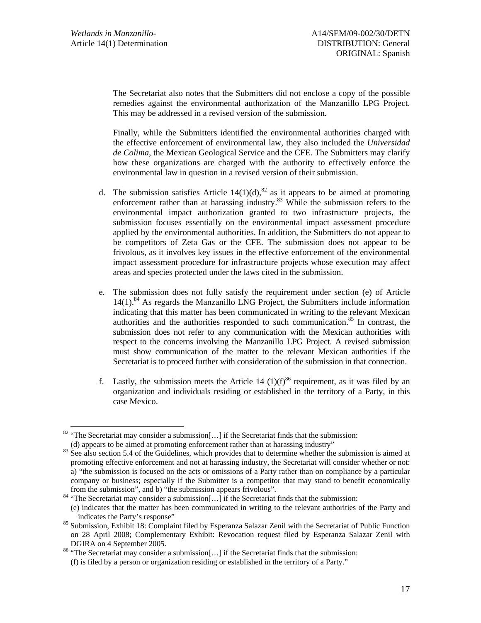The Secretariat also notes that the Submitters did not enclose a copy of the possible remedies against the environmental authorization of the Manzanillo LPG Project. This may be addressed in a revised version of the submission.

Finally, while the Submitters identified the environmental authorities charged with the effective enforcement of environmental law, they also included the *Universidad de Colima,* the Mexican Geological Service and the CFE. The Submitters may clarify how these organizations are charged with the authority to effectively enforce the environmental law in question in a revised version of their submission.

- d. The submission satisfies Article  $14(1)(d)$ ,<sup>82</sup> as it appears to be aimed at promoting enforcement rather than at harassing industry.<sup>83</sup> While the submission refers to the environmental impact authorization granted to two infrastructure projects, the submission focuses essentially on the environmental impact assessment procedure applied by the environmental authorities. In addition, the Submitters do not appear to be competitors of Zeta Gas or the CFE. The submission does not appear to be frivolous, as it involves key issues in the effective enforcement of the environmental impact assessment procedure for infrastructure projects whose execution may affect areas and species protected under the laws cited in the submission.
- e. The submission does not fully satisfy the requirement under section (e) of Article  $14(1)$ .<sup>84</sup> As regards the Manzanillo LNG Project, the Submitters include information indicating that this matter has been communicated in writing to the relevant Mexican authorities and the authorities responded to such communication.<sup>85</sup> In contrast, the submission does not refer to any communication with the Mexican authorities with respect to the concerns involving the Manzanillo LPG Project. A revised submission must show communication of the matter to the relevant Mexican authorities if the Secretariat is to proceed further with consideration of the submission in that connection.
- f. Lastly, the submission meets the Article 14 (1)( $f^{86}$  requirement, as it was filed by an organization and individuals residing or established in the territory of a Party, in this case Mexico.

<sup>&</sup>lt;sup>82</sup> "The Secretariat may consider a submission[...] if the Secretariat finds that the submission:<br>(d) appears to be aimed at promoting enforcement rather than at harassing industry"

 $\frac{183}{25}$  See also section 5.4 of the Guidelines, which provides that to determine whether the submission is aimed at promoting effective enforcement and not at harassing industry, the Secretariat will consider whether or not: a) "the submission is focused on the acts or omissions of a Party rather than on compliance by a particular company or business; especially if the Submitter is a competitor that may stand to benefit economically from the submission", and b) "the submission appears frivolous".<br><sup>84</sup> "The Secretariat may consider a submission[...] if the Secretariat finds that the submission:

<sup>(</sup>e) indicates that the matter has been communicated in writing to the relevant authorities of the Party and

indicates the Party's response" spaces the Party's response" 85 Submission, Exhibit 18: Complaint filed by Esperanza Salazar Zenil with the Secretariat of Public Function on 28 April 2008; Complementary Exhibit: Revocation request filed by Esperanza Salazar Zenil with DGIRA on 4 September 2005.<br><sup>86</sup> "The Secretariat may consider a submission[...] if the Secretariat finds that the submission:

<sup>(</sup>f) is filed by a person or organization residing or established in the territory of a Party."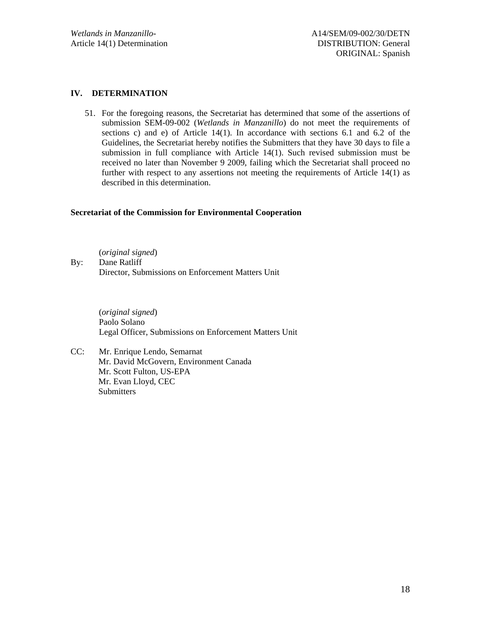# **IV. DETERMINATION**

51. For the foregoing reasons, the Secretariat has determined that some of the assertions of submission SEM-09-002 (*Wetlands in Manzanillo*) do not meet the requirements of sections c) and e) of Article 14(1). In accordance with sections 6.1 and 6.2 of the Guidelines, the Secretariat hereby notifies the Submitters that they have 30 days to file a submission in full compliance with Article 14(1). Such revised submission must be received no later than November 9 2009, failing which the Secretariat shall proceed no further with respect to any assertions not meeting the requirements of Article 14(1) as described in this determination.

## **Secretariat of the Commission for Environmental Cooperation**

(*original signed*) By: Dane Ratliff Director, Submissions on Enforcement Matters Unit

> (*original signed*) Paolo Solano Legal Officer, Submissions on Enforcement Matters Unit

CC: Mr. Enrique Lendo, Semarnat Mr. David McGovern, Environment Canada Mr. Scott Fulton, US-EPA Mr. Evan Lloyd, CEC Submitters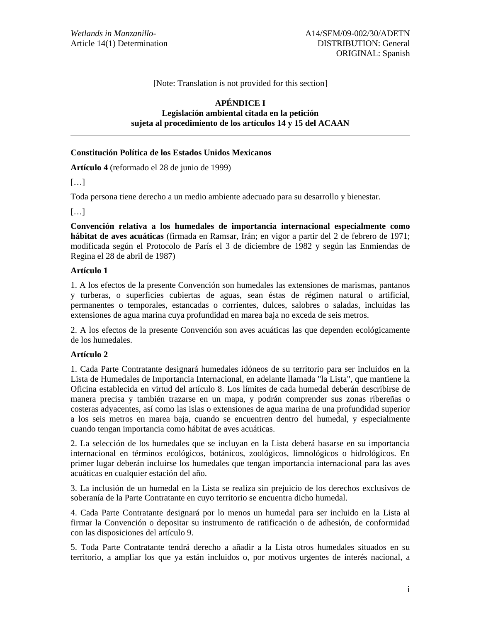## [Note: Translation is not provided for this section]

## **APÉNDICE I Legislación ambiental citada en la petición sujeta al procedimiento de los artículos 14 y 15 del ACAAN**

#### **Constitución Política de los Estados Unidos Mexicanos**

**Artículo 4** (reformado el 28 de junio de 1999)

[…]

Toda persona tiene derecho a un medio ambiente adecuado para su desarrollo y bienestar.

[…]

**Convención relativa a los humedales de importancia internacional especialmente como hábitat de aves acuáticas** (firmada en Ramsar, Irán; en vigor a partir del 2 de febrero de 1971; modificada según el Protocolo de París el 3 de diciembre de 1982 y según las Enmiendas de Regina el 28 de abril de 1987)

#### **Artículo 1**

1. A los efectos de la presente Convención son humedales las extensiones de marismas, pantanos y turberas, o superficies cubiertas de aguas, sean éstas de régimen natural o artificial, permanentes o temporales, estancadas o corrientes, dulces, salobres o saladas, incluidas las extensiones de agua marina cuya profundidad en marea baja no exceda de seis metros.

2. A los efectos de la presente Convención son aves acuáticas las que dependen ecológicamente de los humedales.

## **Artículo 2**

1. Cada Parte Contratante designará humedales idóneos de su territorio para ser incluidos en la Lista de Humedales de Importancia Internacional, en adelante llamada "la Lista", que mantiene la Oficina establecida en virtud del artículo 8. Los límites de cada humedal deberán describirse de manera precisa y también trazarse en un mapa, y podrán comprender sus zonas ribereñas o costeras adyacentes, así como las islas o extensiones de agua marina de una profundidad superior a los seis metros en marea baja, cuando se encuentren dentro del humedal, y especialmente cuando tengan importancia como hábitat de aves acuáticas.

2. La selección de los humedales que se incluyan en la Lista deberá basarse en su importancia internacional en términos ecológicos, botánicos, zoológicos, limnológicos o hidrológicos. En primer lugar deberán incluirse los humedales que tengan importancia internacional para las aves acuáticas en cualquier estación del año.

3. La inclusión de un humedal en la Lista se realiza sin prejuicio de los derechos exclusivos de soberanía de la Parte Contratante en cuyo territorio se encuentra dicho humedal.

4. Cada Parte Contratante designará por lo menos un humedal para ser incluido en la Lista al firmar la Convención o depositar su instrumento de ratificación o de adhesión, de conformidad con las disposiciones del artículo 9.

5. Toda Parte Contratante tendrá derecho a añadir a la Lista otros humedales situados en su territorio, a ampliar los que ya están incluidos o, por motivos urgentes de interés nacional, a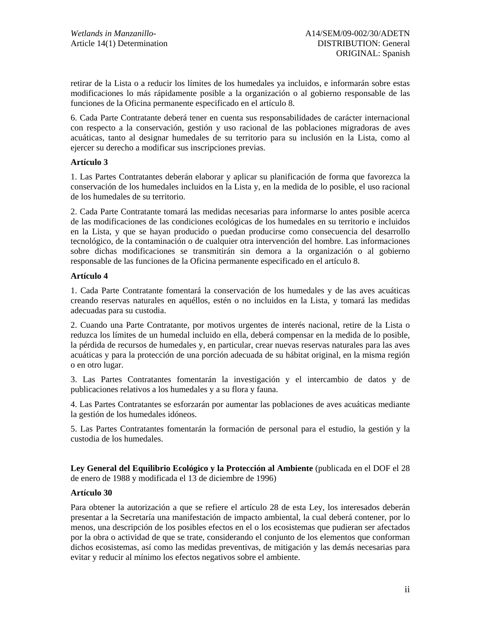retirar de la Lista o a reducir los límites de los humedales ya incluidos, e informarán sobre estas modificaciones lo más rápidamente posible a la organización o al gobierno responsable de las funciones de la Oficina permanente especificado en el artículo 8.

6. Cada Parte Contratante deberá tener en cuenta sus responsabilidades de carácter internacional con respecto a la conservación, gestión y uso racional de las poblaciones migradoras de aves acuáticas, tanto al designar humedales de su territorio para su inclusión en la Lista, como al ejercer su derecho a modificar sus inscripciones previas.

## **Artículo 3**

1. Las Partes Contratantes deberán elaborar y aplicar su planificación de forma que favorezca la conservación de los humedales incluidos en la Lista y, en la medida de lo posible, el uso racional de los humedales de su territorio.

2. Cada Parte Contratante tomará las medidas necesarias para informarse lo antes posible acerca de las modificaciones de las condiciones ecológicas de los humedales en su territorio e incluidos en la Lista, y que se hayan producido o puedan producirse como consecuencia del desarrollo tecnológico, de la contaminación o de cualquier otra intervención del hombre. Las informaciones sobre dichas modificaciones se transmitirán sin demora a la organización o al gobierno responsable de las funciones de la Oficina permanente especificado en el artículo 8.

#### **Artículo 4**

1. Cada Parte Contratante fomentará la conservación de los humedales y de las aves acuáticas creando reservas naturales en aquéllos, estén o no incluidos en la Lista, y tomará las medidas adecuadas para su custodia.

2. Cuando una Parte Contratante, por motivos urgentes de interés nacional, retire de la Lista o reduzca los límites de un humedal incluido en ella, deberá compensar en la medida de lo posible, la pérdida de recursos de humedales y, en particular, crear nuevas reservas naturales para las aves acuáticas y para la protección de una porción adecuada de su hábitat original, en la misma región o en otro lugar.

3. Las Partes Contratantes fomentarán la investigación y el intercambio de datos y de publicaciones relativos a los humedales y a su flora y fauna.

4. Las Partes Contratantes se esforzarán por aumentar las poblaciones de aves acuáticas mediante la gestión de los humedales idóneos.

5. Las Partes Contratantes fomentarán la formación de personal para el estudio, la gestión y la custodia de los humedales.

**Ley General del Equilibrio Ecológico y la Protección al Ambiente** (publicada en el DOF el 28 de enero de 1988 y modificada el 13 de diciembre de 1996)

## **Artículo 30**

Para obtener la autorización a que se refiere el artículo 28 de esta Ley, los interesados deberán presentar a la Secretaría una manifestación de impacto ambiental, la cual deberá contener, por lo menos, una descripción de los posibles efectos en el o los ecosistemas que pudieran ser afectados por la obra o actividad de que se trate, considerando el conjunto de los elementos que conforman dichos ecosistemas, así como las medidas preventivas, de mitigación y las demás necesarias para evitar y reducir al mínimo los efectos negativos sobre el ambiente.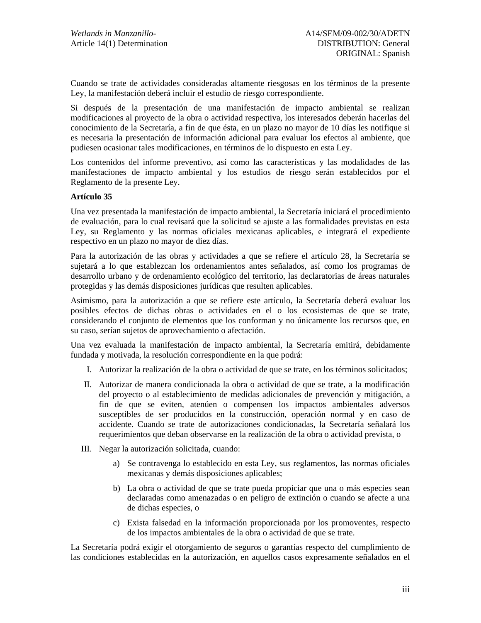Cuando se trate de actividades consideradas altamente riesgosas en los términos de la presente Ley, la manifestación deberá incluir el estudio de riesgo correspondiente.

Si después de la presentación de una manifestación de impacto ambiental se realizan modificaciones al proyecto de la obra o actividad respectiva, los interesados deberán hacerlas del conocimiento de la Secretaría, a fin de que ésta, en un plazo no mayor de 10 días les notifique si es necesaria la presentación de información adicional para evaluar los efectos al ambiente, que pudiesen ocasionar tales modificaciones, en términos de lo dispuesto en esta Ley.

Los contenidos del informe preventivo, así como las características y las modalidades de las manifestaciones de impacto ambiental y los estudios de riesgo serán establecidos por el Reglamento de la presente Ley.

#### **Artículo 35**

Una vez presentada la manifestación de impacto ambiental, la Secretaría iniciará el procedimiento de evaluación, para lo cual revisará que la solicitud se ajuste a las formalidades previstas en esta Ley, su Reglamento y las normas oficiales mexicanas aplicables, e integrará el expediente respectivo en un plazo no mayor de diez días.

Para la autorización de las obras y actividades a que se refiere el artículo 28, la Secretaría se sujetará a lo que establezcan los ordenamientos antes señalados, así como los programas de desarrollo urbano y de ordenamiento ecológico del territorio, las declaratorias de áreas naturales protegidas y las demás disposiciones jurídicas que resulten aplicables.

Asimismo, para la autorización a que se refiere este artículo, la Secretaría deberá evaluar los posibles efectos de dichas obras o actividades en el o los ecosistemas de que se trate, considerando el conjunto de elementos que los conforman y no únicamente los recursos que, en su caso, serían sujetos de aprovechamiento o afectación.

Una vez evaluada la manifestación de impacto ambiental, la Secretaría emitirá, debidamente fundada y motivada, la resolución correspondiente en la que podrá:

- I. Autorizar la realización de la obra o actividad de que se trate, en los términos solicitados;
- II. Autorizar de manera condicionada la obra o actividad de que se trate, a la modificación del proyecto o al establecimiento de medidas adicionales de prevención y mitigación, a fin de que se eviten, atenúen o compensen los impactos ambientales adversos susceptibles de ser producidos en la construcción, operación normal y en caso de accidente. Cuando se trate de autorizaciones condicionadas, la Secretaría señalará los requerimientos que deban observarse en la realización de la obra o actividad prevista, o
- III. Negar la autorización solicitada, cuando:
	- a) Se contravenga lo establecido en esta Ley, sus reglamentos, las normas oficiales mexicanas y demás disposiciones aplicables;
	- b) La obra o actividad de que se trate pueda propiciar que una o más especies sean declaradas como amenazadas o en peligro de extinción o cuando se afecte a una de dichas especies, o
	- c) Exista falsedad en la información proporcionada por los promoventes, respecto de los impactos ambientales de la obra o actividad de que se trate.

La Secretaría podrá exigir el otorgamiento de seguros o garantías respecto del cumplimiento de las condiciones establecidas en la autorización, en aquellos casos expresamente señalados en el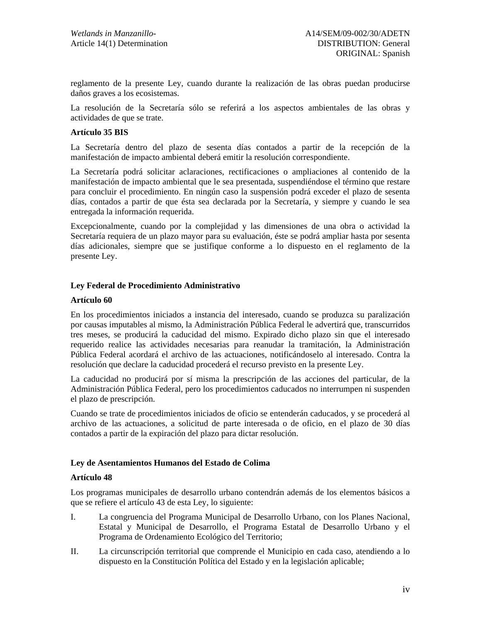reglamento de la presente Ley, cuando durante la realización de las obras puedan producirse daños graves a los ecosistemas.

La resolución de la Secretaría sólo se referirá a los aspectos ambientales de las obras y actividades de que se trate.

#### **Artículo 35 BIS**

La Secretaría dentro del plazo de sesenta días contados a partir de la recepción de la manifestación de impacto ambiental deberá emitir la resolución correspondiente.

La Secretaría podrá solicitar aclaraciones, rectificaciones o ampliaciones al contenido de la manifestación de impacto ambiental que le sea presentada, suspendiéndose el término que restare para concluir el procedimiento. En ningún caso la suspensión podrá exceder el plazo de sesenta días, contados a partir de que ésta sea declarada por la Secretaría, y siempre y cuando le sea entregada la información requerida.

Excepcionalmente, cuando por la complejidad y las dimensiones de una obra o actividad la Secretaría requiera de un plazo mayor para su evaluación, éste se podrá ampliar hasta por sesenta días adicionales, siempre que se justifique conforme a lo dispuesto en el reglamento de la presente Ley.

## **Ley Federal de Procedimiento Administrativo**

#### **Artículo 60**

En los procedimientos iniciados a instancia del interesado, cuando se produzca su paralización por causas imputables al mismo, la Administración Pública Federal le advertirá que, transcurridos tres meses, se producirá la caducidad del mismo. Expirado dicho plazo sin que el interesado requerido realice las actividades necesarias para reanudar la tramitación, la Administración Pública Federal acordará el archivo de las actuaciones, notificándoselo al interesado. Contra la resolución que declare la caducidad procederá el recurso previsto en la presente Ley.

La caducidad no producirá por sí misma la prescripción de las acciones del particular, de la Administración Pública Federal, pero los procedimientos caducados no interrumpen ni suspenden el plazo de prescripción.

Cuando se trate de procedimientos iniciados de oficio se entenderán caducados, y se procederá al archivo de las actuaciones, a solicitud de parte interesada o de oficio, en el plazo de 30 días contados a partir de la expiración del plazo para dictar resolución.

#### **Ley de Asentamientos Humanos del Estado de Colima**

#### **Artículo 48**

Los programas municipales de desarrollo urbano contendrán además de los elementos básicos a que se refiere el artículo 43 de esta Ley, lo siguiente:

- I. La congruencia del Programa Municipal de Desarrollo Urbano, con los Planes Nacional, Estatal y Municipal de Desarrollo, el Programa Estatal de Desarrollo Urbano y el Programa de Ordenamiento Ecológico del Territorio;
- II. La circunscripción territorial que comprende el Municipio en cada caso, atendiendo a lo dispuesto en la Constitución Política del Estado y en la legislación aplicable;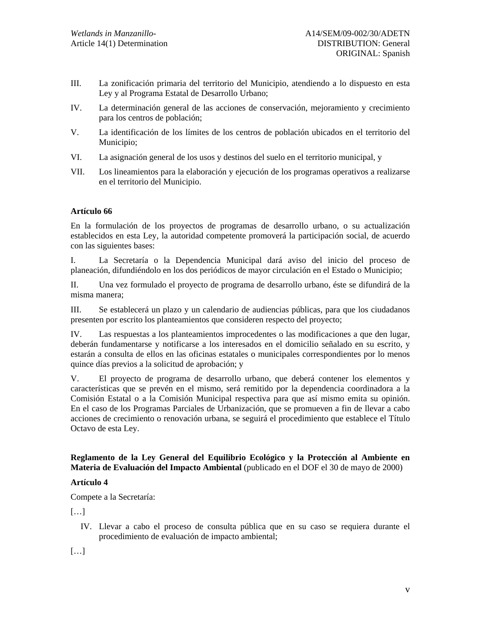- III. La zonificación primaria del territorio del Municipio, atendiendo a lo dispuesto en esta Ley y al Programa Estatal de Desarrollo Urbano;
- IV. La determinación general de las acciones de conservación, mejoramiento y crecimiento para los centros de población;
- V. La identificación de los límites de los centros de población ubicados en el territorio del Municipio;
- VI. La asignación general de los usos y destinos del suelo en el territorio municipal, y
- VII. Los lineamientos para la elaboración y ejecución de los programas operativos a realizarse en el territorio del Municipio.

# **Artículo 66**

En la formulación de los proyectos de programas de desarrollo urbano, o su actualización establecidos en esta Ley, la autoridad competente promoverá la participación social, de acuerdo con las siguientes bases:

I. La Secretaría o la Dependencia Municipal dará aviso del inicio del proceso de planeación, difundiéndolo en los dos periódicos de mayor circulación en el Estado o Municipio;

II. Una vez formulado el proyecto de programa de desarrollo urbano, éste se difundirá de la misma manera;

III. Se establecerá un plazo y un calendario de audiencias públicas, para que los ciudadanos presenten por escrito los planteamientos que consideren respecto del proyecto;

IV. Las respuestas a los planteamientos improcedentes o las modificaciones a que den lugar, deberán fundamentarse y notificarse a los interesados en el domicilio señalado en su escrito, y estarán a consulta de ellos en las oficinas estatales o municipales correspondientes por lo menos quince días previos a la solicitud de aprobación; y

V. El proyecto de programa de desarrollo urbano, que deberá contener los elementos y características que se prevén en el mismo, será remitido por la dependencia coordinadora a la Comisión Estatal o a la Comisión Municipal respectiva para que así mismo emita su opinión. En el caso de los Programas Parciales de Urbanización, que se promueven a fin de llevar a cabo acciones de crecimiento o renovación urbana, se seguirá el procedimiento que establece el Título Octavo de esta Ley.

# **Reglamento de la Ley General del Equilibrio Ecológico y la Protección al Ambiente en Materia de Evaluación del Impacto Ambiental** (publicado en el DOF el 30 de mayo de 2000)

## **Artículo 4**

Compete a la Secretaría:

[…]

IV. Llevar a cabo el proceso de consulta pública que en su caso se requiera durante el procedimiento de evaluación de impacto ambiental;

[…]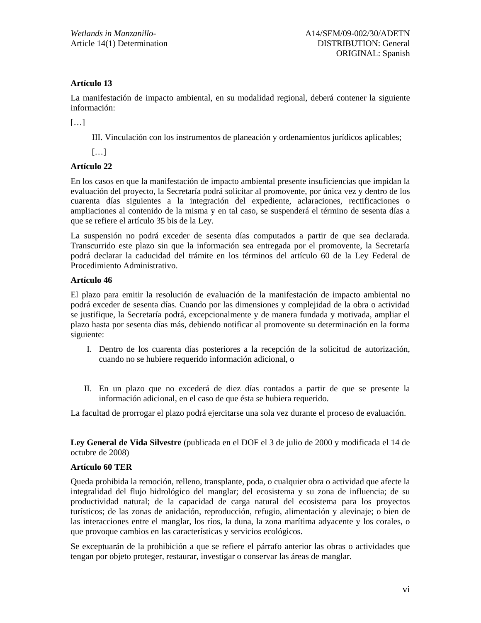# **Artículo 13**

La manifestación de impacto ambiental, en su modalidad regional, deberá contener la siguiente información:

[…]

III. Vinculación con los instrumentos de planeación y ordenamientos jurídicos aplicables;

[…]

# **Artículo 22**

En los casos en que la manifestación de impacto ambiental presente insuficiencias que impidan la evaluación del proyecto, la Secretaría podrá solicitar al promovente, por única vez y dentro de los cuarenta días siguientes a la integración del expediente, aclaraciones, rectificaciones o ampliaciones al contenido de la misma y en tal caso, se suspenderá el término de sesenta días a que se refiere el artículo 35 bis de la Ley.

La suspensión no podrá exceder de sesenta días computados a partir de que sea declarada. Transcurrido este plazo sin que la información sea entregada por el promovente, la Secretaría podrá declarar la caducidad del trámite en los términos del artículo 60 de la Ley Federal de Procedimiento Administrativo.

## **Artículo 46**

El plazo para emitir la resolución de evaluación de la manifestación de impacto ambiental no podrá exceder de sesenta días. Cuando por las dimensiones y complejidad de la obra o actividad se justifique, la Secretaría podrá, excepcionalmente y de manera fundada y motivada, ampliar el plazo hasta por sesenta días más, debiendo notificar al promovente su determinación en la forma siguiente:

- I. Dentro de los cuarenta días posteriores a la recepción de la solicitud de autorización, cuando no se hubiere requerido información adicional, o
- II. En un plazo que no excederá de diez días contados a partir de que se presente la información adicional, en el caso de que ésta se hubiera requerido.

La facultad de prorrogar el plazo podrá ejercitarse una sola vez durante el proceso de evaluación.

**Ley General de Vida Silvestre** (publicada en el DOF el 3 de julio de 2000 y modificada el 14 de octubre de 2008)

## **Artículo 60 TER**

Queda prohibida la remoción, relleno, transplante, poda, o cualquier obra o actividad que afecte la integralidad del flujo hidrológico del manglar; del ecosistema y su zona de influencia; de su productividad natural; de la capacidad de carga natural del ecosistema para los proyectos turísticos; de las zonas de anidación, reproducción, refugio, alimentación y alevinaje; o bien de las interacciones entre el manglar, los ríos, la duna, la zona marítima adyacente y los corales, o que provoque cambios en las características y servicios ecológicos.

Se exceptuarán de la prohibición a que se refiere el párrafo anterior las obras o actividades que tengan por objeto proteger, restaurar, investigar o conservar las áreas de manglar.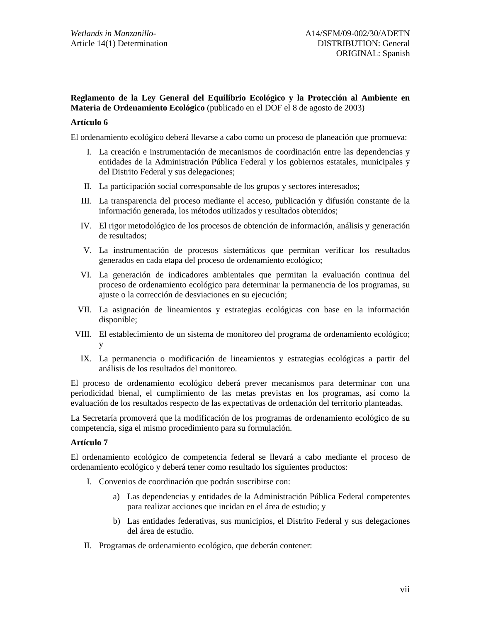# **Reglamento de la Ley General del Equilibrio Ecológico y la Protección al Ambiente en Materia de Ordenamiento Ecológico** (publicado en el DOF el 8 de agosto de 2003)

#### **Artículo 6**

El ordenamiento ecológico deberá llevarse a cabo como un proceso de planeación que promueva:

- I. La creación e instrumentación de mecanismos de coordinación entre las dependencias y entidades de la Administración Pública Federal y los gobiernos estatales, municipales y del Distrito Federal y sus delegaciones;
- II. La participación social corresponsable de los grupos y sectores interesados;
- III. La transparencia del proceso mediante el acceso, publicación y difusión constante de la información generada, los métodos utilizados y resultados obtenidos;
- IV. El rigor metodológico de los procesos de obtención de información, análisis y generación de resultados;
- V. La instrumentación de procesos sistemáticos que permitan verificar los resultados generados en cada etapa del proceso de ordenamiento ecológico;
- VI. La generación de indicadores ambientales que permitan la evaluación continua del proceso de ordenamiento ecológico para determinar la permanencia de los programas, su ajuste o la corrección de desviaciones en su ejecución;
- VII. La asignación de lineamientos y estrategias ecológicas con base en la información disponible;
- VIII. El establecimiento de un sistema de monitoreo del programa de ordenamiento ecológico; y
- IX. La permanencia o modificación de lineamientos y estrategias ecológicas a partir del análisis de los resultados del monitoreo.

El proceso de ordenamiento ecológico deberá prever mecanismos para determinar con una periodicidad bienal, el cumplimiento de las metas previstas en los programas, así como la evaluación de los resultados respecto de las expectativas de ordenación del territorio planteadas.

La Secretaría promoverá que la modificación de los programas de ordenamiento ecológico de su competencia, siga el mismo procedimiento para su formulación.

#### **Artículo 7**

El ordenamiento ecológico de competencia federal se llevará a cabo mediante el proceso de ordenamiento ecológico y deberá tener como resultado los siguientes productos:

- I. Convenios de coordinación que podrán suscribirse con:
	- a) Las dependencias y entidades de la Administración Pública Federal competentes para realizar acciones que incidan en el área de estudio; y
	- b) Las entidades federativas, sus municipios, el Distrito Federal y sus delegaciones del área de estudio.
- II. Programas de ordenamiento ecológico, que deberán contener: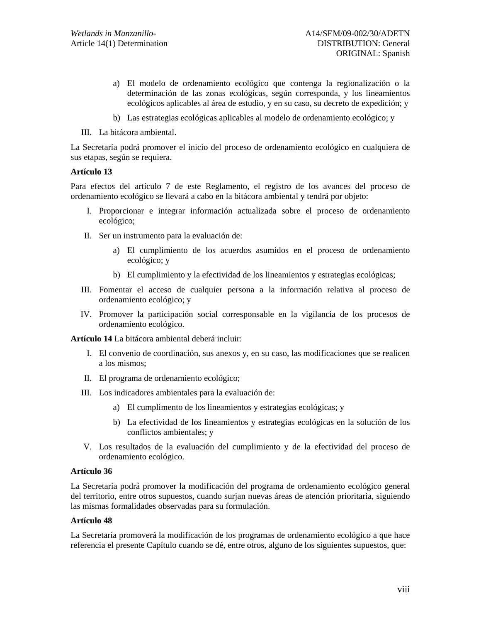- a) El modelo de ordenamiento ecológico que contenga la regionalización o la determinación de las zonas ecológicas, según corresponda, y los lineamientos ecológicos aplicables al área de estudio, y en su caso, su decreto de expedición; y
- b) Las estrategias ecológicas aplicables al modelo de ordenamiento ecológico; y
- III. La bitácora ambiental.

La Secretaría podrá promover el inicio del proceso de ordenamiento ecológico en cualquiera de sus etapas, según se requiera.

#### **Artículo 13**

Para efectos del artículo 7 de este Reglamento, el registro de los avances del proceso de ordenamiento ecológico se llevará a cabo en la bitácora ambiental y tendrá por objeto:

- I. Proporcionar e integrar información actualizada sobre el proceso de ordenamiento ecológico;
- II. Ser un instrumento para la evaluación de:
	- a) El cumplimiento de los acuerdos asumidos en el proceso de ordenamiento ecológico; y
	- b) El cumplimiento y la efectividad de los lineamientos y estrategias ecológicas;
- III. Fomentar el acceso de cualquier persona a la información relativa al proceso de ordenamiento ecológico; y
- IV. Promover la participación social corresponsable en la vigilancia de los procesos de ordenamiento ecológico.

**Artículo 14** La bitácora ambiental deberá incluir:

- I. El convenio de coordinación, sus anexos y, en su caso, las modificaciones que se realicen a los mismos;
- II. El programa de ordenamiento ecológico;
- III. Los indicadores ambientales para la evaluación de:
	- a) El cumplimento de los lineamientos y estrategias ecológicas; y
	- b) La efectividad de los lineamientos y estrategias ecológicas en la solución de los conflictos ambientales; y
- V. Los resultados de la evaluación del cumplimiento y de la efectividad del proceso de ordenamiento ecológico.

## **Artículo 36**

La Secretaría podrá promover la modificación del programa de ordenamiento ecológico general del territorio, entre otros supuestos, cuando surjan nuevas áreas de atención prioritaria, siguiendo las mismas formalidades observadas para su formulación.

## **Artículo 48**

La Secretaría promoverá la modificación de los programas de ordenamiento ecológico a que hace referencia el presente Capítulo cuando se dé, entre otros, alguno de los siguientes supuestos, que: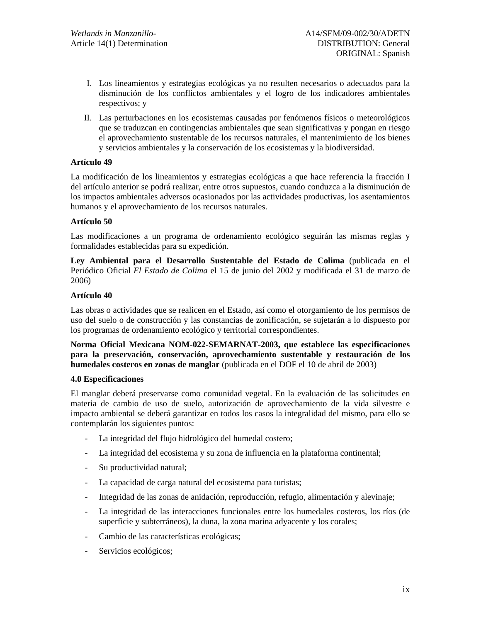- I. Los lineamientos y estrategias ecológicas ya no resulten necesarios o adecuados para la disminución de los conflictos ambientales y el logro de los indicadores ambientales respectivos; y
- II. Las perturbaciones en los ecosistemas causadas por fenómenos físicos o meteorológicos que se traduzcan en contingencias ambientales que sean significativas y pongan en riesgo el aprovechamiento sustentable de los recursos naturales, el mantenimiento de los bienes y servicios ambientales y la conservación de los ecosistemas y la biodiversidad.

## **Artículo 49**

La modificación de los lineamientos y estrategias ecológicas a que hace referencia la fracción I del artículo anterior se podrá realizar, entre otros supuestos, cuando conduzca a la disminución de los impactos ambientales adversos ocasionados por las actividades productivas, los asentamientos humanos y el aprovechamiento de los recursos naturales.

#### **Artículo 50**

Las modificaciones a un programa de ordenamiento ecológico seguirán las mismas reglas y formalidades establecidas para su expedición.

**Ley Ambiental para el Desarrollo Sustentable del Estado de Colima** (publicada en el Periódico Oficial *El Estado de Colima* el 15 de junio del 2002 y modificada el 31 de marzo de 2006)

#### **Artículo 40**

Las obras o actividades que se realicen en el Estado, así como el otorgamiento de los permisos de uso del suelo o de construcción y las constancias de zonificación, se sujetarán a lo dispuesto por los programas de ordenamiento ecológico y territorial correspondientes.

**Norma Oficial Mexicana NOM-022-SEMARNAT-2003, que establece las especificaciones para la preservación, conservación, aprovechamiento sustentable y restauración de los humedales costeros en zonas de manglar** (publicada en el DOF el 10 de abril de 2003)

#### **4.0 Especificaciones**

El manglar deberá preservarse como comunidad vegetal. En la evaluación de las solicitudes en materia de cambio de uso de suelo, autorización de aprovechamiento de la vida silvestre e impacto ambiental se deberá garantizar en todos los casos la integralidad del mismo, para ello se contemplarán los siguientes puntos:

- La integridad del flujo hidrológico del humedal costero;
- La integridad del ecosistema y su zona de influencia en la plataforma continental;
- Su productividad natural;
- La capacidad de carga natural del ecosistema para turistas;
- Integridad de las zonas de anidación, reproducción, refugio, alimentación y alevinaje;
- La integridad de las interacciones funcionales entre los humedales costeros, los ríos (de superficie y subterráneos), la duna, la zona marina adyacente y los corales;
- Cambio de las características ecológicas;
- Servicios ecológicos;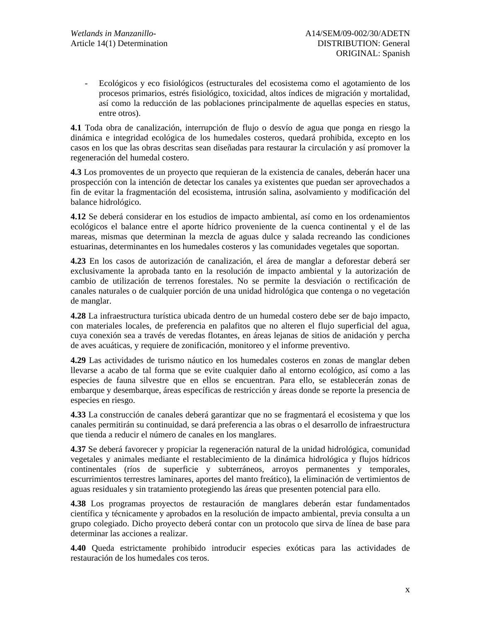- Ecológicos y eco fisiológicos (estructurales del ecosistema como el agotamiento de los procesos primarios, estrés fisiológico, toxicidad, altos índices de migración y mortalidad, así como la reducción de las poblaciones principalmente de aquellas especies en status, entre otros).

**4.1** Toda obra de canalización, interrupción de flujo o desvío de agua que ponga en riesgo la dinámica e integridad ecológica de los humedales costeros, quedará prohibida, excepto en los casos en los que las obras descritas sean diseñadas para restaurar la circulación y así promover la regeneración del humedal costero.

**4.3** Los promoventes de un proyecto que requieran de la existencia de canales, deberán hacer una prospección con la intención de detectar los canales ya existentes que puedan ser aprovechados a fin de evitar la fragmentación del ecosistema, intrusión salina, asolvamiento y modificación del balance hidrológico.

**4.12** Se deberá considerar en los estudios de impacto ambiental, así como en los ordenamientos ecológicos el balance entre el aporte hídrico proveniente de la cuenca continental y el de las mareas, mismas que determinan la mezcla de aguas dulce y salada recreando las condiciones estuarinas, determinantes en los humedales costeros y las comunidades vegetales que soportan.

**4.23** En los casos de autorización de canalización, el área de manglar a deforestar deberá ser exclusivamente la aprobada tanto en la resolución de impacto ambiental y la autorización de cambio de utilización de terrenos forestales. No se permite la desviación o rectificación de canales naturales o de cualquier porción de una unidad hidrológica que contenga o no vegetación de manglar.

**4.28** La infraestructura turística ubicada dentro de un humedal costero debe ser de bajo impacto, con materiales locales, de preferencia en palafitos que no alteren el flujo superficial del agua, cuya conexión sea a través de veredas flotantes, en áreas lejanas de sitios de anidación y percha de aves acuáticas, y requiere de zonificación, monitoreo y el informe preventivo.

**4.29** Las actividades de turismo náutico en los humedales costeros en zonas de manglar deben llevarse a acabo de tal forma que se evite cualquier daño al entorno ecológico, así como a las especies de fauna silvestre que en ellos se encuentran. Para ello, se establecerán zonas de embarque y desembarque, áreas específicas de restricción y áreas donde se reporte la presencia de especies en riesgo.

**4.33** La construcción de canales deberá garantizar que no se fragmentará el ecosistema y que los canales permitirán su continuidad, se dará preferencia a las obras o el desarrollo de infraestructura que tienda a reducir el número de canales en los manglares.

**4.37** Se deberá favorecer y propiciar la regeneración natural de la unidad hidrológica, comunidad vegetales y animales mediante el restablecimiento de la dinámica hidrológica y flujos hídricos continentales (ríos de superficie y subterráneos, arroyos permanentes y temporales, escurrimientos terrestres laminares, aportes del manto freático), la eliminación de vertimientos de aguas residuales y sin tratamiento protegiendo las áreas que presenten potencial para ello.

**4.38** Los programas proyectos de restauración de manglares deberán estar fundamentados científica y técnicamente y aprobados en la resolución de impacto ambiental, previa consulta a un grupo colegiado. Dicho proyecto deberá contar con un protocolo que sirva de línea de base para determinar las acciones a realizar.

**4.40** Queda estrictamente prohibido introducir especies exóticas para las actividades de restauración de los humedales cos teros.